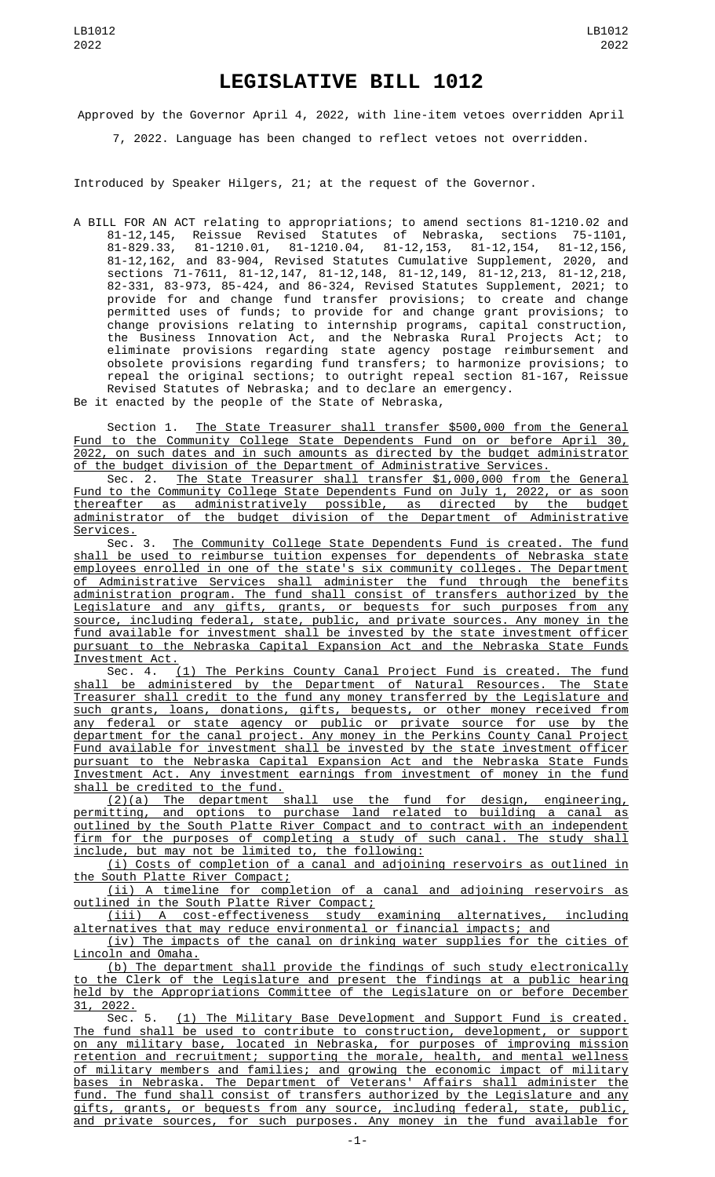## **LEGISLATIVE BILL 1012**

Approved by the Governor April 4, 2022, with line-item vetoes overridden April

7, 2022. Language has been changed to reflect vetoes not overridden.

Introduced by Speaker Hilgers, 21; at the request of the Governor.

A BILL FOR AN ACT relating to appropriations; to amend sections 81-1210.02 and 81-12,145, Reissue Revised Statutes of Nebraska, sections 75-1101, 81-829.33, 81-1210.01, 81-1210.04, 81-12,153, 81-12,154, 81-12,156, 81-12,162, and 83-904, Revised Statutes Cumulative Supplement, 2020, and sections 71-7611, 81-12,147, 81-12,148, 81-12,149, 81-12,213, 81-12,218, 82-331, 83-973, 85-424, and 86-324, Revised Statutes Supplement, 2021; to provide for and change fund transfer provisions; to create and change permitted uses of funds; to provide for and change grant provisions; to change provisions relating to internship programs, capital construction, the Business Innovation Act, and the Nebraska Rural Projects Act; to eliminate provisions regarding state agency postage reimbursement and obsolete provisions regarding fund transfers; to harmonize provisions; to repeal the original sections; to outright repeal section 81-167, Reissue Revised Statutes of Nebraska; and to declare an emergency. Be it enacted by the people of the State of Nebraska,

Section 1. The State Treasurer shall transfer \$500,000 from the General Fund to the Community College State Dependents Fund on or before April 30, 2022, on such dates and in such amounts as directed by the budget administrator of the budget division of the Department of Administrative Services.

Sec. 2. The State Treasurer shall transfer \$1,000,000 from the General Fund to the Community College State Dependents Fund on July 1, 2022, or as soon thereafter as administratively possible, as directed by the budget administrator of the budget division of the Department of Administrative Services.

Sec. 3. The Community College State Dependents Fund is created. The fund shall be used to reimburse tuition expenses for dependents of Nebraska state employees enrolled in one of the state's six community colleges. The Department of Administrative Services shall administer the fund through the benefits administration program. The fund shall consist of transfers authorized by the Legislature and any gifts, grants, or bequests for such purposes from any source, including federal, state, public, and private sources. Any money in the fund available for investment shall be invested by the state investment officer pursuant to the Nebraska Capital Expansion Act and the Nebraska State Funds

Investment Act.<br>Sec. 4. (1) The Perkins County Canal Project Fund is created. The fund shall be administered by the Department of Natural Resources. The State Treasurer shall credit to the fund any money transferred by the Legislature and such grants, loans, donations, gifts, bequests, or other money received from any federal or state agency or public or private source for use by the department for the canal project. Any money in the Perkins County Canal Project Fund available for investment shall be invested by the state investment officer pursuant to the Nebraska Capital Expansion Act and the Nebraska State Funds Investment Act. Any investment earnings from investment of money in the fund shall be credited to the fund.

(2)(a) The department shall use the fund for design, engineering, permitting, and options to purchase land related to building a canal as outlined by the South Platte River Compact and to contract with an independent firm for the purposes of completing a study of such canal. The study shall include, but may not be limited to, the following:

(i) Costs of completion of a canal and adjoining reservoirs as outlined in the South Platte River Compact;

(ii) A timeline for completion of a canal and adjoining reservoirs as outlined in the South Platte River Compact;

(iii) A cost-effectiveness study examining alternatives, including alternatives that may reduce environmental or financial impacts; and

(iv) The impacts of the canal on drinking water supplies for the cities of Lincoln and Omaha.

(b) The department shall provide the findings of such study electronically to the Clerk of the Legislature and present the findings at a public hearing held by the Appropriations Committee of the Legislature on or before December  $\frac{31}{31}$ , 2022.<br>Sec. 5.

(1) The Military Base Development and Support Fund is created. The fund shall be used to contribute to construction, development, or support on any military base, located in Nebraska, for purposes of improving mission retention and recruitment; supporting the morale, health, and mental wellness of military members and families; and growing the economic impact of military bases in Nebraska. The Department of Veterans' Affairs shall administer the fund. The fund shall consist of transfers authorized by the Legislature and any gifts, grants, or bequests from any source, including federal, state, public, and private sources, for such purposes. Any money in the fund available for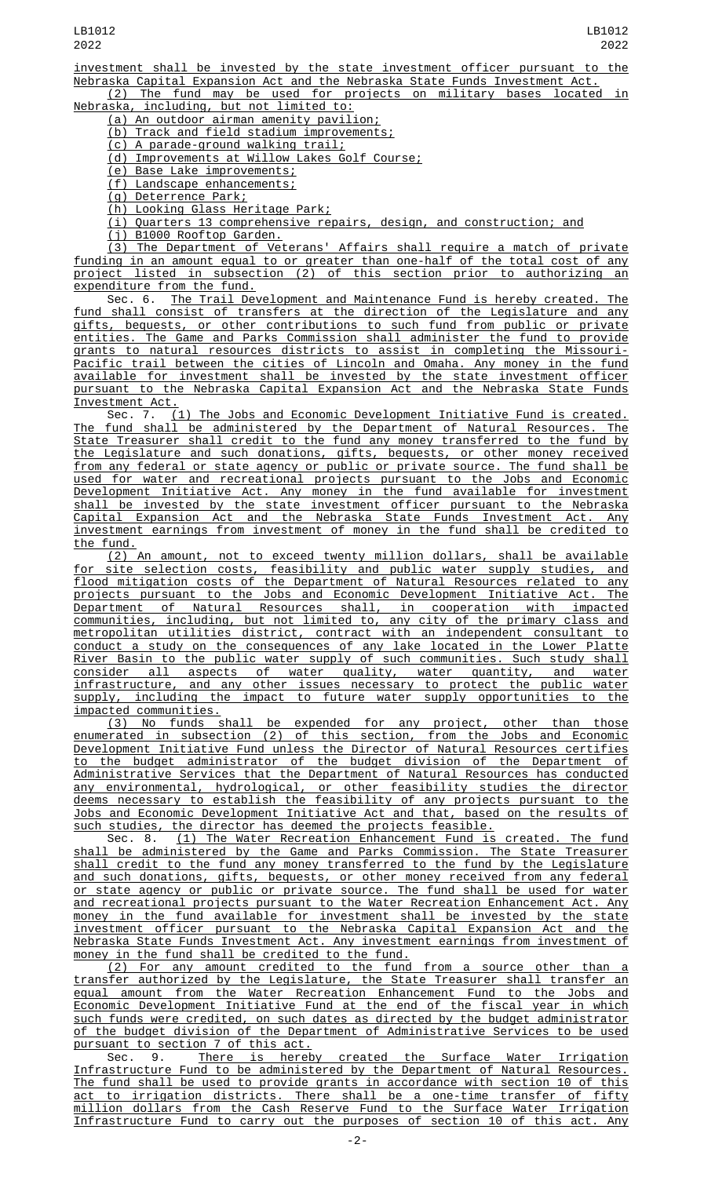LB1012 2022

investment shall be invested by the state investment officer pursuant to the Nebraska Capital Expansion Act and the Nebraska State Funds Investment Act. (2) The fund may be used for projects on military bases located in

Nebraska, including, but not limited to:

(a) An outdoor airman amenity pavilion;

(b) Track and field stadium improvements;

(c) A parade-ground walking trail;

(d) Improvements at Willow Lakes Golf Course;

(e) Base Lake improvements;

(f) Landscape enhancements;

(g) Deterrence Park;

(h) Looking Glass Heritage Park;

(i) Quarters 13 comprehensive repairs, design, and construction; and

(j) B1000 Rooftop Garden.

(3) The Department of Veterans' Affairs shall require a match of private funding in an amount equal to or greater than one-half of the total cost of any project listed in subsection (2) of this section prior to authorizing an expenditure from the fund.

Sec. 6. The Trail Development and Maintenance Fund is hereby created. The fund shall consist of transfers at the direction of the Legislature and any gifts, bequests, or other contributions to such fund from public or private entities. The Game and Parks Commission shall administer the fund to provide grants to natural resources districts to assist in completing the Missouri-Pacific trail between the cities of Lincoln and Omaha. Any money in the fund available for investment shall be invested by the state investment officer pursuant to the Nebraska Capital Expansion Act and the Nebraska State Funds Investment Act.

Sec. 7. (1) The Jobs and Economic Development Initiative Fund is created. The fund shall be administered by the Department of Natural Resources. The State Treasurer shall credit to the fund any money transferred to the fund by the Legislature and such donations, gifts, bequests, or other money received from any federal or state agency or public or private source. The fund shall be used for water and recreational projects pursuant to the Jobs and Economic Development Initiative Act. Any money in the fund available for investment shall be invested by the state investment officer pursuant to the Nebraska Capital Expansion Act and the Nebraska State Funds Investment Act. Any investment earnings from investment of money in the fund shall be credited to the fund.

(2) An amount, not to exceed twenty million dollars, shall be available for site selection costs, feasibility and public water supply studies, and flood mitigation costs of the Department of Natural Resources related to any projects pursuant to the Jobs and Economic Development Initiative Act. The Department of Natural Resources shall, in cooperation with impacted communities, including, but not limited to, any city of the primary class and metropolitan utilities district, contract with an independent consultant to conduct a study on the consequences of any lake located in the Lower Platte River Basin to the public water supply of such communities. Such study shall consider all aspects of water quality, water quantity, and water infrastructure, and any other issues necessary to protect the public water supply, including the impact to future water supply opportunities to the impacted communities.

(3) No funds shall be expended for any project, other than those enumerated in subsection (2) of this section, from the Jobs and Economic Development Initiative Fund unless the Director of Natural Resources certifies to the budget administrator of the budget division of the Department of Administrative Services that the Department of Natural Resources has conducted any environmental, hydrological, or other feasibility studies the director deems necessary to establish the feasibility of any projects pursuant to the Jobs and Economic Development Initiative Act and that, based on the results of such studies, the director has deemed the projects feasible.

Sec. 8. <u>(1) The Water Recreation Enhancement Fund is created. The fund</u> shall be administered by the Game and Parks Commission. The State Treasurer shall credit to the fund any money transferred to the fund by the Legislature and such donations, gifts, bequests, or other money received from any federal or state agency or public or private source. The fund shall be used for water and recreational projects pursuant to the Water Recreation Enhancement Act. Any money in the fund available for investment shall be invested by the state investment officer pursuant to the Nebraska Capital Expansion Act and the Nebraska State Funds Investment Act. Any investment earnings from investment of money in the fund shall be credited to the fund.

(2) For any amount credited to the fund from a source other than a transfer authorized by the Legislature, the State Treasurer shall transfer an equal amount from the Water Recreation Enhancement Fund to the Jobs and Economic Development Initiative Fund at the end of the fiscal year in which such funds were credited, on such dates as directed by the budget administrator of the budget division of the Department of Administrative Services to be used pursuant to section 7 of this act.

Sec. 9. <u>There is hereby created the Surface Water Irrigation</u> Infrastructure Fund to be administered by the Department of Natural Resources. The fund shall be used to provide grants in accordance with section 10 of this act to irrigation districts. There shall be a one-time transfer of fifty million dollars from the Cash Reserve Fund to the Surface Water Irrigation Infrastructure Fund to carry out the purposes of section 10 of this act. Any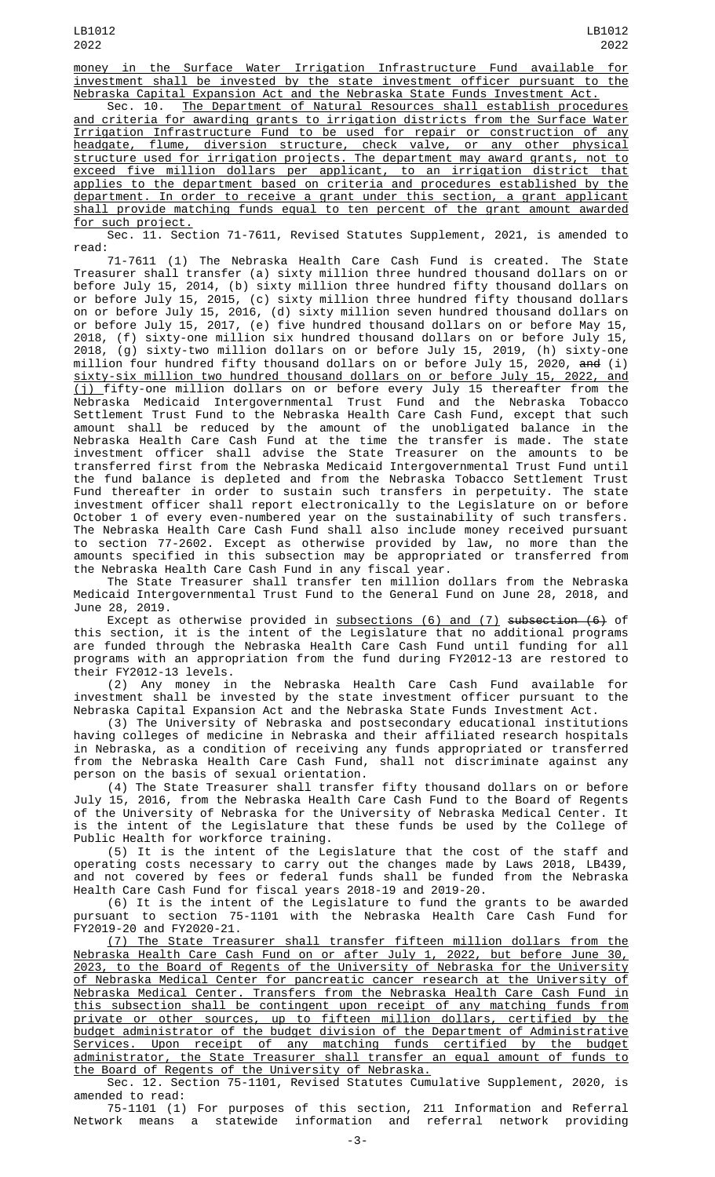money in the Surface Water Irrigation Infrastructure Fund available for investment shall be invested by the state investment officer pursuant to the Nebraska Capital Expansion Act and the Nebraska State Funds Investment Act.

The Department of Natural Resources shall establish procedures and criteria for awarding grants to irrigation districts from the Surface Water Irrigation Infrastructure Fund to be used for repair or construction of any headgate, flume, diversion structure, check valve, or any other physical structure used for irrigation projects. The department may award grants, not to exceed five million dollars per applicant, to an irrigation district that applies to the department based on criteria and procedures established by the department. In order to receive a grant under this section, a grant applicant shall provide matching funds equal to ten percent of the grant amount awarded for such project.

Sec. 11. Section 71-7611, Revised Statutes Supplement, 2021, is amended to read:

71-7611 (1) The Nebraska Health Care Cash Fund is created. The State Treasurer shall transfer (a) sixty million three hundred thousand dollars on or before July 15, 2014, (b) sixty million three hundred fifty thousand dollars on or before July 15, 2015, (c) sixty million three hundred fifty thousand dollars on or before July 15, 2016, (d) sixty million seven hundred thousand dollars on or before July 15, 2017, (e) five hundred thousand dollars on or before May 15, 2018, (f) sixty-one million six hundred thousand dollars on or before July 15, 2018, (g) sixty-two million dollars on or before July 15, 2019, (h) sixty-one million four hundred fifty thousand dollars on or before July 15, 2020, <del>and</del> (i) sixty-six million two hundred thousand dollars on or before July 15, 2022, and (j) fifty-one million dollars on or before every July 15 thereafter from the Nebraska Medicaid Intergovernmental Trust Fund and the Nebraska Tobacco Settlement Trust Fund to the Nebraska Health Care Cash Fund, except that such amount shall be reduced by the amount of the unobligated balance in the Nebraska Health Care Cash Fund at the time the transfer is made. The state investment officer shall advise the State Treasurer on the amounts to be transferred first from the Nebraska Medicaid Intergovernmental Trust Fund until the fund balance is depleted and from the Nebraska Tobacco Settlement Trust Fund thereafter in order to sustain such transfers in perpetuity. The state investment officer shall report electronically to the Legislature on or before October 1 of every even-numbered year on the sustainability of such transfers. The Nebraska Health Care Cash Fund shall also include money received pursuant to section 77-2602. Except as otherwise provided by law, no more than the amounts specified in this subsection may be appropriated or transferred from the Nebraska Health Care Cash Fund in any fiscal year.

The State Treasurer shall transfer ten million dollars from the Nebraska Medicaid Intergovernmental Trust Fund to the General Fund on June 28, 2018, and June 28, 2019.

Except as otherwise provided in <u>subsections (6) and (7)</u> <del>subsection (6)</del> of this section, it is the intent of the Legislature that no additional programs are funded through the Nebraska Health Care Cash Fund until funding for all programs with an appropriation from the fund during FY2012-13 are restored to their FY2012-13 levels.

(2) Any money in the Nebraska Health Care Cash Fund available for investment shall be invested by the state investment officer pursuant to the Nebraska Capital Expansion Act and the Nebraska State Funds Investment Act.

(3) The University of Nebraska and postsecondary educational institutions having colleges of medicine in Nebraska and their affiliated research hospitals in Nebraska, as a condition of receiving any funds appropriated or transferred from the Nebraska Health Care Cash Fund, shall not discriminate against any person on the basis of sexual orientation.

(4) The State Treasurer shall transfer fifty thousand dollars on or before July 15, 2016, from the Nebraska Health Care Cash Fund to the Board of Regents of the University of Nebraska for the University of Nebraska Medical Center. It is the intent of the Legislature that these funds be used by the College of Public Health for workforce training.

(5) It is the intent of the Legislature that the cost of the staff and operating costs necessary to carry out the changes made by Laws 2018, LB439, and not covered by fees or federal funds shall be funded from the Nebraska Health Care Cash Fund for fiscal years 2018-19 and 2019-20.

(6) It is the intent of the Legislature to fund the grants to be awarded pursuant to section 75-1101 with the Nebraska Health Care Cash Fund for FY2019-20 and FY2020-21.

(7) The State Treasurer shall transfer fifteen million dollars from the Nebraska Health Care Cash Fund on or after July 1, 2022, but before June 30, 2023, to the Board of Regents of the University of Nebraska for the University of Nebraska Medical Center for pancreatic cancer research at the University of Nebraska Medical Center. Transfers from the Nebraska Health Care Cash Fund in this subsection shall be contingent upon receipt of any matching funds from private or other sources, up to fifteen million dollars, certified by the budget administrator of the budget division of the Department of Administrative Services. Upon receipt of any matching funds certified by the budget administrator, the State Treasurer shall transfer an equal amount of funds to the Board of Regents of the University of Nebraska.

Sec. 12. Section 75-1101, Revised Statutes Cumulative Supplement, 2020, is amended to read:

75-1101 (1) For purposes of this section, 211 Information and Referral Network means a statewide information and referral network providing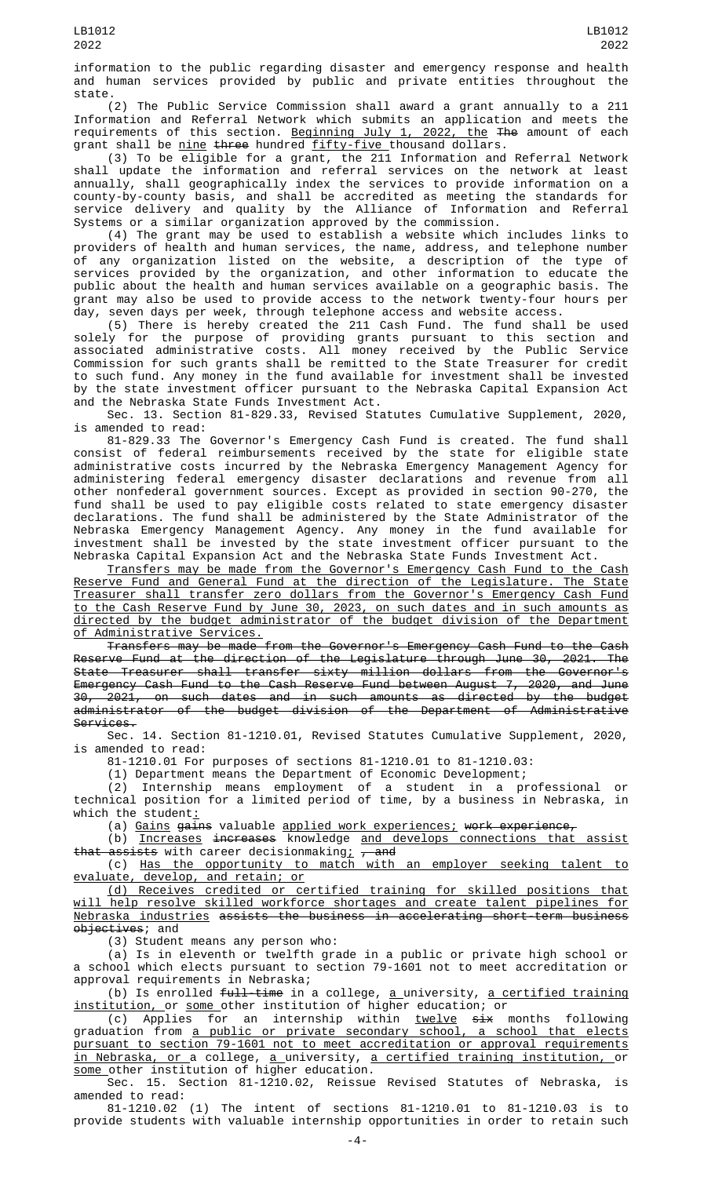information to the public regarding disaster and emergency response and health and human services provided by public and private entities throughout the state.

(2) The Public Service Commission shall award a grant annually to a 211 Information and Referral Network which submits an application and meets the requirements of this section. <u>Beginning July 1, 2022, the</u> <del>The</del> amount of each grant shall be <u>nine</u> three hundred fifty-five thousand dollars.

(3) To be eligible for a grant, the 211 Information and Referral Network shall update the information and referral services on the network at least annually, shall geographically index the services to provide information on a county-by-county basis, and shall be accredited as meeting the standards for service delivery and quality by the Alliance of Information and Referral Systems or a similar organization approved by the commission.

(4) The grant may be used to establish a website which includes links to providers of health and human services, the name, address, and telephone number of any organization listed on the website, a description of the type of services provided by the organization, and other information to educate the public about the health and human services available on a geographic basis. The grant may also be used to provide access to the network twenty-four hours per day, seven days per week, through telephone access and website access.

(5) There is hereby created the 211 Cash Fund. The fund shall be used solely for the purpose of providing grants pursuant to this section and associated administrative costs. All money received by the Public Service Commission for such grants shall be remitted to the State Treasurer for credit to such fund. Any money in the fund available for investment shall be invested by the state investment officer pursuant to the Nebraska Capital Expansion Act and the Nebraska State Funds Investment Act.

Sec. 13. Section 81-829.33, Revised Statutes Cumulative Supplement, 2020, is amended to read:

81-829.33 The Governor's Emergency Cash Fund is created. The fund shall consist of federal reimbursements received by the state for eligible state administrative costs incurred by the Nebraska Emergency Management Agency for administering federal emergency disaster declarations and revenue from all other nonfederal government sources. Except as provided in section 90-270, the fund shall be used to pay eligible costs related to state emergency disaster declarations. The fund shall be administered by the State Administrator of the Nebraska Emergency Management Agency. Any money in the fund available for investment shall be invested by the state investment officer pursuant to the Nebraska Capital Expansion Act and the Nebraska State Funds Investment Act.

Transfers may be made from the Governor's Emergency Cash Fund to the Cash Reserve Fund and General Fund at the direction of the Legislature. The State Treasurer shall transfer zero dollars from the Governor's Emergency Cash Fund to the Cash Reserve Fund by June 30, 2023, on such dates and in such amounts as directed by the budget administrator of the budget division of the Department of Administrative Services.

Transfers may be made from the Governor's Emergency Cash Fund to the Cash Reserve Fund at the direction of the Legislature through June 30, 2021. The State Treasurer shall transfer sixty million dollars from the Governor's Emergency Cash Fund to the Cash Reserve Fund between August 7, 2020, and June 30, 2021, on such dates and in such amounts as directed by the budget administrator of the budget division of the Department of Administrative Services.

Sec. 14. Section 81-1210.01, Revised Statutes Cumulative Supplement, 2020, is amended to read:

81-1210.01 For purposes of sections 81-1210.01 to 81-1210.03:

(1) Department means the Department of Economic Development;

(2) Internship means employment of a student in a professional or technical position for a limited period of time, by a business in Nebraska, in which the student:

(a) Gains gains valuable applied work experiences; work experience,

(b) Increases increases knowledge and develops connections that assist that assists with career decisionmaking<u>;</u> <del>, and</del>

(c) Has the opportunity to match with an employer seeking talent to evaluate, develop, and retain; or

(d) Receives credited or certified training for skilled positions that will help resolve skilled workforce shortages and create talent pipelines for Nebraska industries assists the business in accelerating short-term business objectives; and

(3) Student means any person who:

(a) Is in eleventh or twelfth grade in a public or private high school or a school which elects pursuant to section 79-1601 not to meet accreditation or approval requirements in Nebraska;

(b) Is enrolled full-time in a college, a university, a certified training institution, or some other institution of higher education; or

(c) Applies for an internship within <u>twelve</u> <del>six</del> months following graduation from <u>a public or private secondary school, a school that elects</u> pursuant to section 79-1601 not to meet accreditation or approval requirements <u>in Nebraska, or </u>a college, <u>a university, a certified training institution, o</u>r some other institution of higher education.

Sec. 15. Section 81-1210.02, Reissue Revised Statutes of Nebraska, is amended to read:

81-1210.02 (1) The intent of sections 81-1210.01 to 81-1210.03 is to provide students with valuable internship opportunities in order to retain such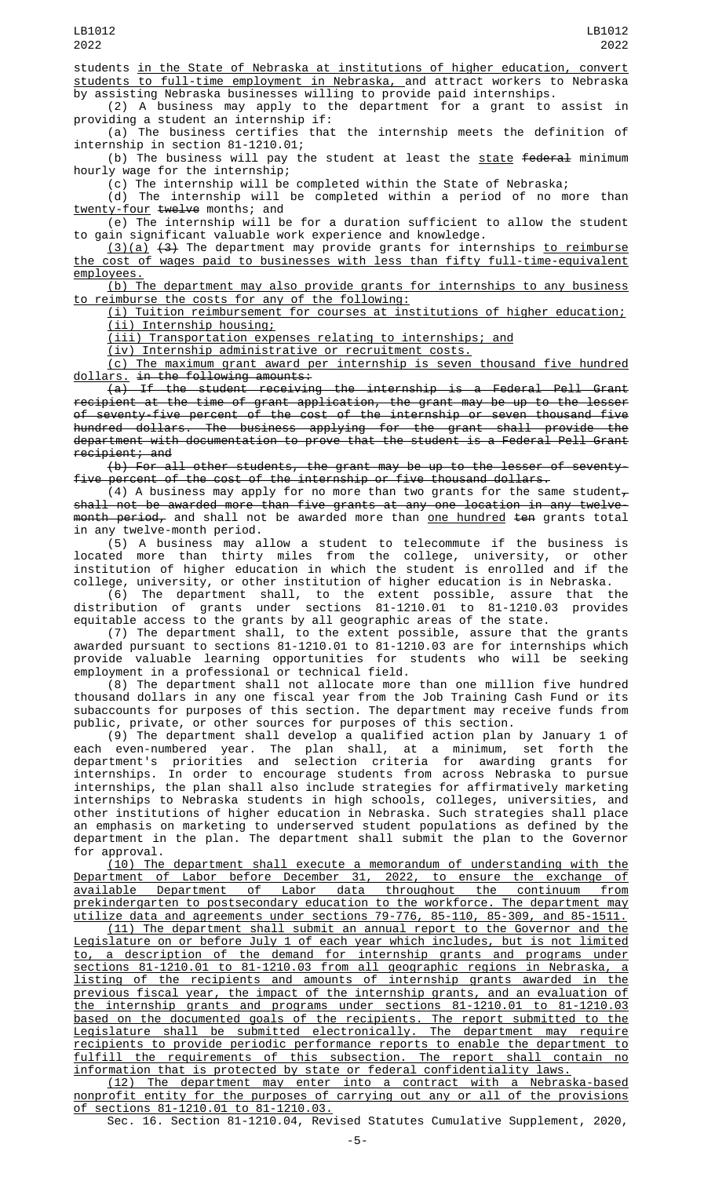students in the State of Nebraska at institutions of higher education, convert students to full-time employment in Nebraska, and attract workers to Nebraska by assisting Nebraska businesses willing to provide paid internships.

(2) A business may apply to the department for a grant to assist in providing a student an internship if:

(a) The business certifies that the internship meets the definition of internship in section 81-1210.01;

(b) The business will pay the student at least the <u>state</u> <del>federal</del> minimum hourly wage for the internship;

(c) The internship will be completed within the State of Nebraska;

(d) The internship will be completed within a period of no more than twenty-four twelve months; and

(e) The internship will be for a duration sufficient to allow the student to gain significant valuable work experience and knowledge.

<u>(3)(a)</u> <del>(3)</del> The department may provide grants for internships <u>to reimburse</u> the cost of wages paid to businesses with less than fifty full-time-equivalent employees.

(b) The department may also provide grants for internships to any business to reimburse the costs for any of the following:

(i) Tuition reimbursement for courses at institutions of higher education; (ii) Internship housing;

(iii) Transportation expenses relating to internships; and

(iv) Internship administrative or recruitment costs.

(c) The maximum grant award per internship is seven thousand five hundred dollars. in the following amounts:

 $\overline{(a)}$  If the student receiving the internship is a Federal Pell Grant recipient at the time of grant application, the grant may be up to the lesser of seventy-five percent of the cost of the internship or seven thousand five hundred dollars. The business applying for the grant shall provide the department with documentation to prove that the student is a Federal Pell Grant recipient; and

(b) For all other students, the grant may be up to the lesser of seventyfive percent of the cost of the internship or five thousand dollars.

(4) A business may apply for no more than two grants for the same student $_{\tau}$ shall not be awarded more than five grants at any one location in any twelvemonth period, and shall not be awarded more than one hundred ten grants total in any twelve-month period.

(5) A business may allow a student to telecommute if the business is located more than thirty miles from the college, university, or other institution of higher education in which the student is enrolled and if the college, university, or other institution of higher education is in Nebraska.

(6) The department shall, to the extent possible, assure that the distribution of grants under sections 81-1210.01 to 81-1210.03 provides equitable access to the grants by all geographic areas of the state.

(7) The department shall, to the extent possible, assure that the grants awarded pursuant to sections 81-1210.01 to 81-1210.03 are for internships which provide valuable learning opportunities for students who will be seeking employment in a professional or technical field.

(8) The department shall not allocate more than one million five hundred thousand dollars in any one fiscal year from the Job Training Cash Fund or its subaccounts for purposes of this section. The department may receive funds from public, private, or other sources for purposes of this section.

(9) The department shall develop a qualified action plan by January 1 of each even-numbered year. The plan shall, at a minimum, set forth the department's priorities and selection criteria for awarding grants for internships. In order to encourage students from across Nebraska to pursue internships, the plan shall also include strategies for affirmatively marketing internships to Nebraska students in high schools, colleges, universities, and other institutions of higher education in Nebraska. Such strategies shall place an emphasis on marketing to underserved student populations as defined by the department in the plan. The department shall submit the plan to the Governor for approval.

(10) The department shall execute a memorandum of understanding with the Department of Labor before December 31, 2022, to ensure the exchange of available Department of Labor data throughout the continuum from prekindergarten to postsecondary education to the workforce. The department may utilize data and agreements under sections 79-776, 85-110, 85-309, and 85-1511.

(11) The department shall submit an annual report to the Governor and the Legislature on or before July 1 of each year which includes, but is not limited to, a description of the demand for internship grants and programs under sections 81-1210.01 to 81-1210.03 from all geographic regions in Nebraska, a listing of the recipients and amounts of internship grants awarded in the previous fiscal year, the impact of the internship grants, and an evaluation of the internship grants and programs under sections 81-1210.01 to 81-1210.03 based on the documented goals of the recipients. The report submitted to the Legislature shall be submitted electronically. The department may require recipients to provide periodic performance reports to enable the department to fulfill the requirements of this subsection. The report shall contain no information that is protected by state or federal confidentiality laws.

(12) The department may enter into a contract with a Nebraska-based nonprofit entity for the purposes of carrying out any or all of the provisions of sections 81-1210.01 to 81-1210.03.

Sec. 16. Section 81-1210.04, Revised Statutes Cumulative Supplement, 2020,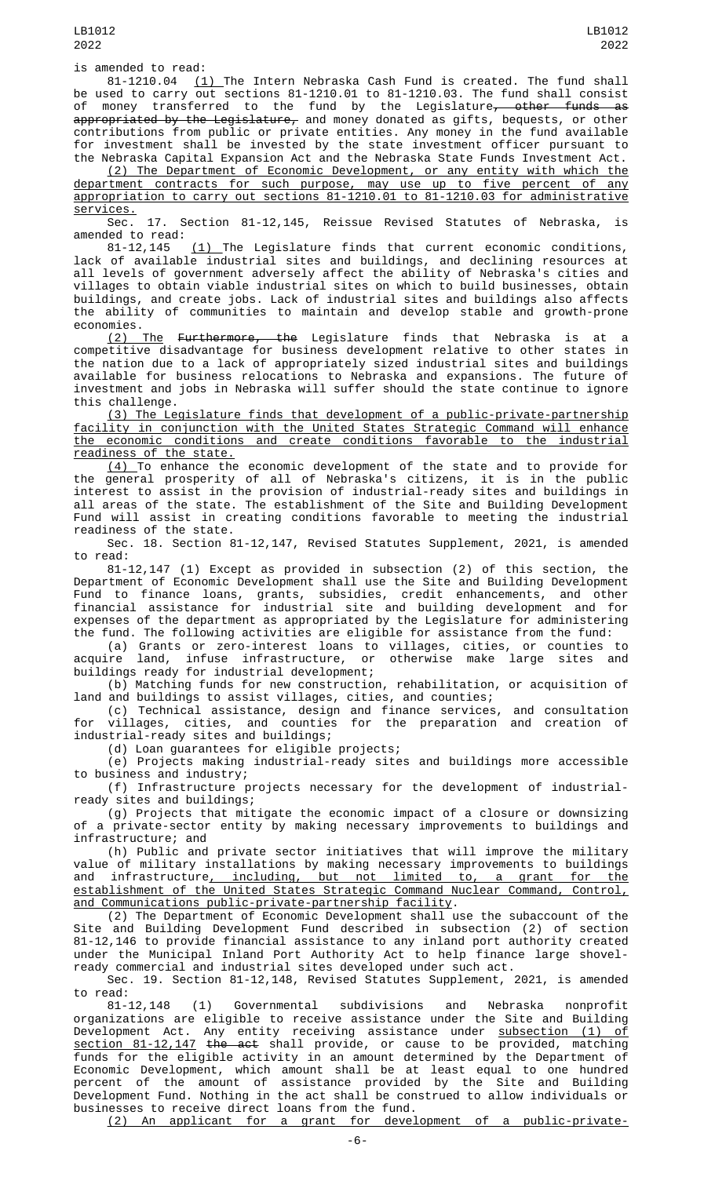is amended to read:

81-1210.04 <u>(1) </u>The Intern Nebraska Cash Fund is created. The fund shall be used to carry out sections 81-1210.01 to 81-1210.03. The fund shall consist of money transferred to the fund by the Legislature<del>, other funds as</del> appropriated by the Legislature, and money donated as gifts, bequests, or other contributions from public or private entities. Any money in the fund available for investment shall be invested by the state investment officer pursuant to the Nebraska Capital Expansion Act and the Nebraska State Funds Investment Act.

(2) The Department of Economic Development, or any entity with which the department contracts for such purpose, may use up to five percent of any appropriation to carry out sections 81-1210.01 to 81-1210.03 for administrative services.

Sec. 17. Section 81-12,145, Reissue Revised Statutes of Nebraska, is amended to read:<br>81-12,145

(1) The Legislature finds that current economic conditions, lack of available industrial sites and buildings, and declining resources at all levels of government adversely affect the ability of Nebraska's cities and villages to obtain viable industrial sites on which to build businesses, obtain buildings, and create jobs. Lack of industrial sites and buildings also affects the ability of communities to maintain and develop stable and growth-prone economies.

<u>(2) The</u> <del>Furthermore, the</del> Legislature finds that Nebraska is at a competitive disadvantage for business development relative to other states in the nation due to a lack of appropriately sized industrial sites and buildings available for business relocations to Nebraska and expansions. The future of investment and jobs in Nebraska will suffer should the state continue to ignore this challenge.

(3) The Legislature finds that development of a public-private-partnership facility in conjunction with the United States Strategic Command will enhance<br>the economic conditions and create conditions favorable to the industrial the economic conditions and create conditions favorable to readiness of the state.

(4) To enhance the economic development of the state and to provide for the general prosperity of all of Nebraska's citizens, it is in the public interest to assist in the provision of industrial-ready sites and buildings in all areas of the state. The establishment of the Site and Building Development Fund will assist in creating conditions favorable to meeting the industrial readiness of the state.

Sec. 18. Section 81-12,147, Revised Statutes Supplement, 2021, is amended to read:

81-12,147 (1) Except as provided in subsection (2) of this section, the Department of Economic Development shall use the Site and Building Development Fund to finance loans, grants, subsidies, credit enhancements, and other financial assistance for industrial site and building development and for expenses of the department as appropriated by the Legislature for administering the fund. The following activities are eligible for assistance from the fund:

(a) Grants or zero-interest loans to villages, cities, or counties to acquire land, infuse infrastructure, or otherwise make large sites and buildings ready for industrial development;

(b) Matching funds for new construction, rehabilitation, or acquisition of land and buildings to assist villages, cities, and counties;

(c) Technical assistance, design and finance services, and consultation for villages, cities, and counties for the preparation and creation of industrial-ready sites and buildings;

(d) Loan guarantees for eligible projects;

(e) Projects making industrial-ready sites and buildings more accessible to business and industry;

(f) Infrastructure projects necessary for the development of industrialready sites and buildings;

(g) Projects that mitigate the economic impact of a closure or downsizing of a private-sector entity by making necessary improvements to buildings and infrastructure; and

(h) Public and private sector initiatives that will improve the military value of military installations by making necessary improvements to buildings and infrastructure<u>, including, but not limited to, a grant for the</u> establishment of the United States Strategic Command Nuclear Command, Control, and Communications public-private-partnership facility.

(2) The Department of Economic Development shall use the subaccount of the Site and Building Development Fund described in subsection (2) of section 81-12,146 to provide financial assistance to any inland port authority created under the Municipal Inland Port Authority Act to help finance large shovelready commercial and industrial sites developed under such act.

Sec. 19. Section 81-12,148, Revised Statutes Supplement, 2021, is amended to read:

81-12,148 (1) Governmental subdivisions and Nebraska nonprofit organizations are eligible to receive assistance under the Site and Building Development Act. Any entity receiving assistance under <u>subsection (1) of</u> section 81-12,147 the act shall provide, or cause to be provided, matching funds for the eligible activity in an amount determined by the Department of Economic Development, which amount shall be at least equal to one hundred percent of the amount of assistance provided by the Site and Building Development Fund. Nothing in the act shall be construed to allow individuals or businesses to receive direct loans from the fund.

(2) An applicant for a grant for development of a public-private-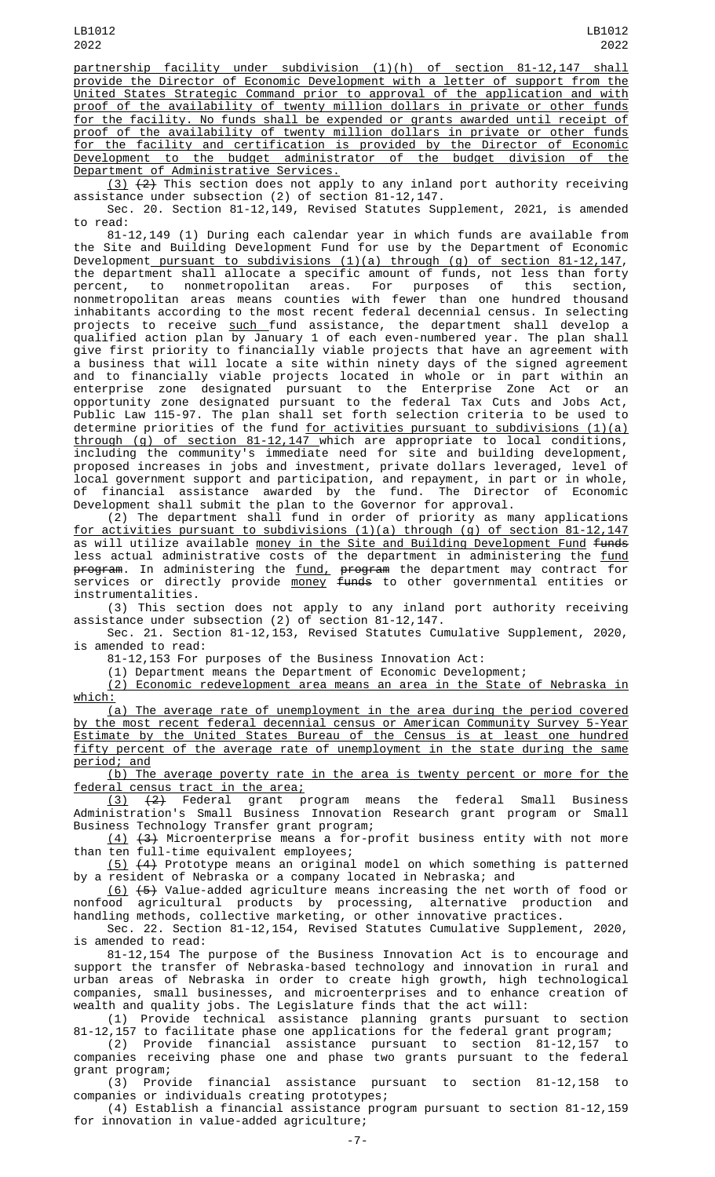partnership facility under subdivision (1)(h) of section 81-12,147 shall provide the Director of Economic Development with a letter of support from the United States Strategic Command prior to approval of the application and with proof of the availability of twenty million dollars in private or other funds for the facility. No funds shall be expended or grants awarded until receipt of proof of the availability of twenty million dollars in private or other funds for the facility and certification is provided by the Director of Economic Development to the budget administrator of the budget division of the Department of Administrative Services.

<u>(3)</u> <del>(2)</del> This section does not apply to any inland port authority receiving assistance under subsection (2) of section 81-12,147.

Sec. 20. Section 81-12,149, Revised Statutes Supplement, 2021, is amended to read:

81-12,149 (1) During each calendar year in which funds are available from the Site and Building Development Fund for use by the Department of Economic Development pursuant to subdivisions (1)(a) through (g) of section 81-12,147, the department shall allocate a specific amount of funds, not less than forty<br>percent, to nonmetropolitan areas. For purposes of this section, to nonmetropolitan areas. For purposes of nonmetropolitan areas means counties with fewer than one hundred thousand inhabitants according to the most recent federal decennial census. In selecting projects to receive <u>such f</u>und assistance, the department shall develop a qualified action plan by January 1 of each even-numbered year. The plan shall give first priority to financially viable projects that have an agreement with a business that will locate a site within ninety days of the signed agreement and to financially viable projects located in whole or in part within an enterprise zone designated pursuant to the Enterprise Zone Act or an opportunity zone designated pursuant to the federal Tax Cuts and Jobs Act, Public Law 115-97. The plan shall set forth selection criteria to be used to determine priorities of the fund <u>for activities pursuant to subdivisions (1)(a)</u> through (g) of section 81-12,147 which are appropriate to local conditions, including the community's immediate need for site and building development, proposed increases in jobs and investment, private dollars leveraged, level of local government support and participation, and repayment, in part or in whole, of financial assistance awarded by the fund. The Director of Economic Development shall submit the plan to the Governor for approval.

(2) The department shall fund in order of priority as many applications for activities pursuant to subdivisions (1)(a) through (g) of section 81-12,147 as will utilize available <u>money in the Site and Building Development Fund</u> <del>funds</del> less actual administrative costs of the department in administering the <u>fund</u> <del>program</del>. In administering the <u>fund,</u> <del>program</del> the department may contract for services or directly provide <u>money</u> <del>funds</del> to other governmental entities or instrumentalities.

(3) This section does not apply to any inland port authority receiving assistance under subsection (2) of section 81-12,147.

Sec. 21. Section 81-12,153, Revised Statutes Cumulative Supplement, 2020, is amended to read:

81-12,153 For purposes of the Business Innovation Act:

(1) Department means the Department of Economic Development;

(2) Economic redevelopment area means an area in the State of Nebraska in which:

(a) The average rate of unemployment in the area during the period covered by the most recent federal decennial census or American Community Survey 5-Year Estimate by the United States Bureau of the Census is at least one hundred fifty percent of the average rate of unemployment in the state during the same period; and

(b) The average poverty rate in the area is twenty percent or more for the federal census tract in the area;

(3) (2) Federal grant program means the federal Small Business Administration's Small Business Innovation Research grant program or Small Business Technology Transfer grant program;

(4) (3) Microenterprise means a for-profit business entity with not more than ten full-time equivalent employees;

(5) (4) Prototype means an original model on which something is patterned by a resident of Nebraska or a company located in Nebraska; and

(6) (5) Value-added agriculture means increasing the net worth of food or nonfood agricultural products by processing, alternative production and handling methods, collective marketing, or other innovative practices.

Sec. 22. Section 81-12,154, Revised Statutes Cumulative Supplement, 2020, is amended to read:

81-12,154 The purpose of the Business Innovation Act is to encourage and support the transfer of Nebraska-based technology and innovation in rural and urban areas of Nebraska in order to create high growth, high technological companies, small businesses, and microenterprises and to enhance creation of wealth and quality jobs. The Legislature finds that the act will:

(1) Provide technical assistance planning grants pursuant to section 81-12,157 to facilitate phase one applications for the federal grant program;

(2) Provide financial assistance pursuant to section 81-12,157 to companies receiving phase one and phase two grants pursuant to the federal grant program;

(3) Provide financial assistance pursuant to section 81-12,158 to companies or individuals creating prototypes;

(4) Establish a financial assistance program pursuant to section 81-12,159 for innovation in value-added agriculture;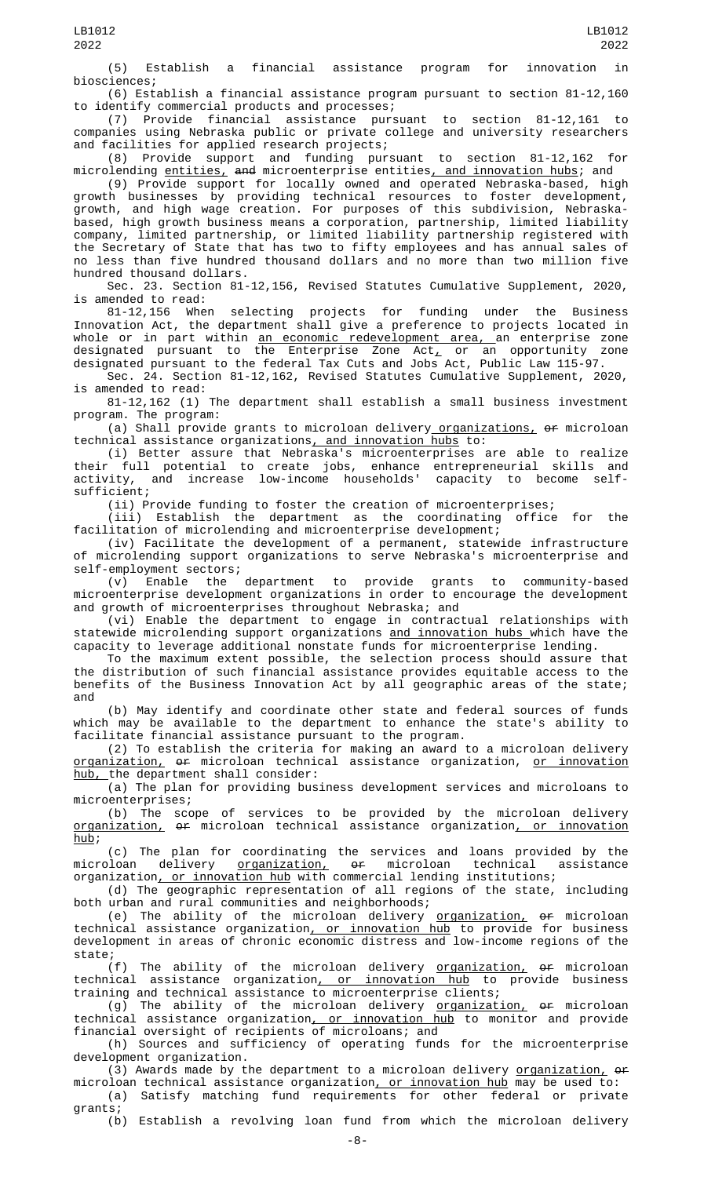(5) Establish a financial assistance program for innovation in biosciences;

(6) Establish a financial assistance program pursuant to section 81-12,160

identify commercial products and processes;<br>(7) Provide financial assistance purs (7) Provide financial assistance pursuant to section 81-12,161 to companies using Nebraska public or private college and university researchers and facilities for applied research projects;

(8) Provide support and funding pursuant to section 81-12,162 for microlending <u>entities,</u> <del>and</del> microenterprise entities<u>, and innovation hubs</u>; and

(9) Provide support for locally owned and operated Nebraska-based, high growth businesses by providing technical resources to foster development, growth, and high wage creation. For purposes of this subdivision, Nebraskabased, high growth business means a corporation, partnership, limited liability company, limited partnership, or limited liability partnership registered with the Secretary of State that has two to fifty employees and has annual sales of no less than five hundred thousand dollars and no more than two million five hundred thousand dollars.

Sec. 23. Section 81-12,156, Revised Statutes Cumulative Supplement, 2020, is amended to read:

81-12,156 When selecting projects for funding under the Business Innovation Act, the department shall give a preference to projects located in whole or in part within <u>an economic redevelopment area, a</u>n enterprise zone designated pursuant to the Enterprise Zone Act $_{\cal L}$  or an opportunity zone designated pursuant to the federal Tax Cuts and Jobs Act, Public Law 115-97.

Sec. 24. Section 81-12,162, Revised Statutes Cumulative Supplement, 2020, is amended to read:

81-12,162 (1) The department shall establish a small business investment program. The program:

(a) Shall provide grants to microloan delivery\_<u>organizations,</u> <del>or</del> microloan technical assistance organizations, and innovation hubs to:

(i) Better assure that Nebraska's microenterprises are able to realize their full potential to create jobs, enhance entrepreneurial skills and activity, and increase low-income households' capacity to become selfsufficient;

(ii) Provide funding to foster the creation of microenterprises;<br>(iii) Establish the department as the coordinating office

(iii) Establish the department as the coordinating office for the facilitation of microlending and microenterprise development;

(iv) Facilitate the development of a permanent, statewide infrastructure of microlending support organizations to serve Nebraska's microenterprise and self-employment sectors;

(v) Enable the department to provide grants to community-based microenterprise development organizations in order to encourage the development and growth of microenterprises throughout Nebraska; and

(vi) Enable the department to engage in contractual relationships with statewide microlending support organizations and innovation hubs which have the capacity to leverage additional nonstate funds for microenterprise lending.

To the maximum extent possible, the selection process should assure that the distribution of such financial assistance provides equitable access to the benefits of the Business Innovation Act by all geographic areas of the state; and

(b) May identify and coordinate other state and federal sources of funds which may be available to the department to enhance the state's ability to facilitate financial assistance pursuant to the program.

(2) To establish the criteria for making an award to a microloan delivery organization, or microloan technical assistance organization, or innovation hub, the department shall consider:

(a) The plan for providing business development services and microloans to microenterprises;

(b) The scope of services to be provided by the microloan delivery <u>organization,</u> <del>or</del> microloan technical assistance organization<u>, or innovation</u>  $hub;$ 

(c) The plan for coordinating the services and loans provided by the microloan delivery <u>organization,</u> <del>or</del> microloan technical assistance organization, or innovation hub with commercial lending institutions;

(d) The geographic representation of all regions of the state, including both urban and rural communities and neighborhoods;

(e) The ability of the microloan delivery <u>organization,</u> <del>or</del> microloan technical assistance organization<u>, or innovation hub</u> to provide for business development in areas of chronic economic distress and low-income regions of the state;

(f) The ability of the microloan delivery <u>organization,</u> <del>or</del> microloan technical assistance organization, or innovation hub to provide business training and technical assistance to microenterprise clients;

(g) The ability of the microloan delivery <u>organization,</u> <del>or</del> microloan technical assistance organization, or innovation hub to monitor and provide financial oversight of recipients of microloans; and

(h) Sources and sufficiency of operating funds for the microenterprise development organization.

(3) Awards made by the department to a microloan delivery <u>organization,</u> of microloan technical assistance organization<u>, or innovation hub</u> may be used to:

(a) Satisfy matching fund requirements for other federal or private grants;

(b) Establish a revolving loan fund from which the microloan delivery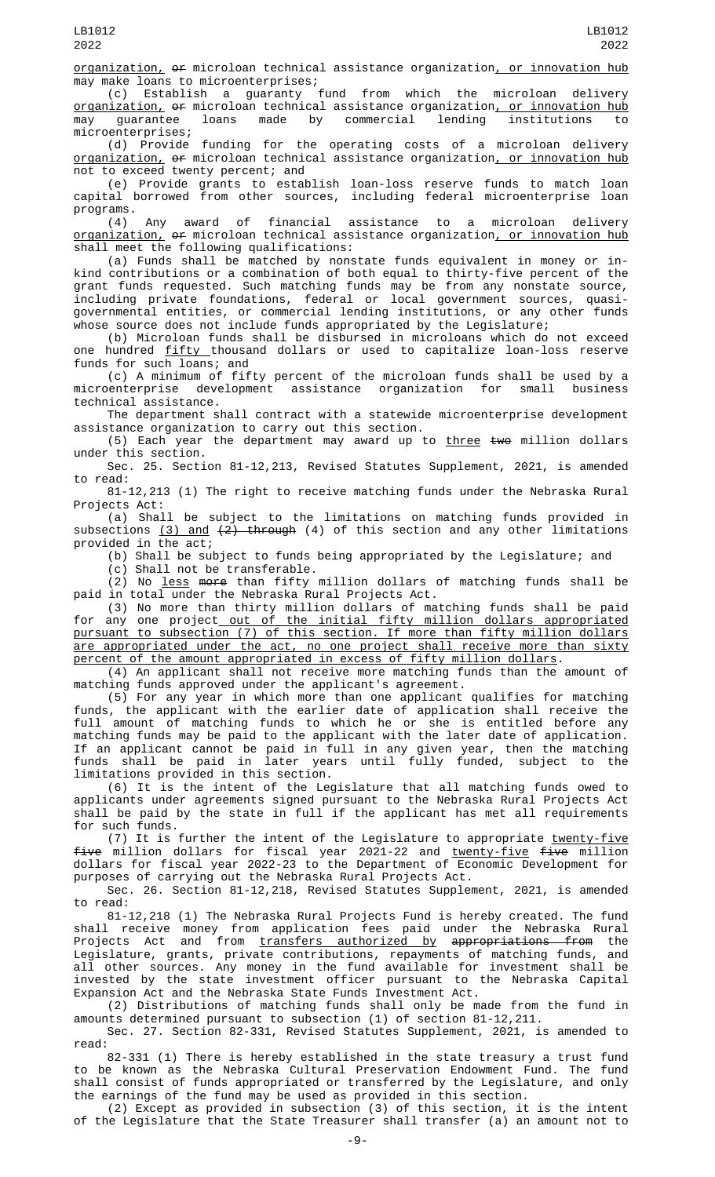organization, or microloan technical assistance organization, or innovation hub may make loans to microenterprises;

(c) Establish a guaranty fund from which the microloan delivery <u>organization,</u> o<del>r</del> microloan technical assistance organization<u>, or innovation hub</u><br>mav quarantee loans made by commercial lending institutions to guarantee loans made by commercial lending institutions to microenterprises;

(d) Provide funding for the operating costs of a microloan delivery <u>organization,</u> <del>or</del> microloan technical assistance organization<u>, or innovation hub</u> not to exceed twenty percent; and

(e) Provide grants to establish loan-loss reserve funds to match loan capital borrowed from other sources, including federal microenterprise loan programs.<br>(4)

Any award of financial assistance to a microloan delivery organization, of microloan technical assistance organization, or innovation hub shall meet the following qualifications:

(a) Funds shall be matched by nonstate funds equivalent in money or inkind contributions or a combination of both equal to thirty-five percent of the grant funds requested. Such matching funds may be from any nonstate source, including private foundations, federal or local government sources, quasigovernmental entities, or commercial lending institutions, or any other funds whose source does not include funds appropriated by the Legislature;

(b) Microloan funds shall be disbursed in microloans which do not exceed one hundred fifty thousand dollars or used to capitalize loan-loss reserve funds for such loans; and

(c) A minimum of fifty percent of the microloan funds shall be used by a microenterprise development assistance organization for small business technical assistance.

The department shall contract with a statewide microenterprise development assistance organization to carry out this section.

(5) Each year the department may award up to  $three$  two million dollars under this section.

Sec. 25. Section 81-12,213, Revised Statutes Supplement, 2021, is amended to read:

81-12,213 (1) The right to receive matching funds under the Nebraska Rural Projects Act:

(a) Shall be subject to the limitations on matching funds provided in subsections  $(3)$  and  $(2)$  through  $(4)$  of this section and any other limitations provided in the act;

(b) Shall be subject to funds being appropriated by the Legislature; and

(c) Shall not be transferable.

(2) No less more than fifty million dollars of matching funds shall be paid in total under the Nebraska Rural Projects Act.

(3) No more than thirty million dollars of matching funds shall be paid for any one project<u> out of the initial fifty million dollars appropriated</u> pursuant to subsection (7) of this section. If more than fifty million dollars are appropriated under the act, no one project shall receive more than sixty percent of the amount appropriated in excess of fifty million dollars.

(4) An applicant shall not receive more matching funds than the amount of matching funds approved under the applicant's agreement.

(5) For any year in which more than one applicant qualifies for matching funds, the applicant with the earlier date of application shall receive the full amount of matching funds to which he or she is entitled before any matching funds may be paid to the applicant with the later date of application. If an applicant cannot be paid in full in any given year, then the matching funds shall be paid in later years until fully funded, subject to the limitations provided in this section.

(6) It is the intent of the Legislature that all matching funds owed to applicants under agreements signed pursuant to the Nebraska Rural Projects Act shall be paid by the state in full if the applicant has met all requirements for such funds.

(7) It is further the intent of the Legislature to appropriate twenty-five five million dollars for fiscal year 2021-22 and twenty-five five million dollars for fiscal year 2022-23 to the Department of Economic Development for purposes of carrying out the Nebraska Rural Projects Act.

Sec. 26. Section 81-12,218, Revised Statutes Supplement, 2021, is amended to read:

81-12,218 (1) The Nebraska Rural Projects Fund is hereby created. The fund shall receive money from application fees paid under the Nebraska Rural Projects Act and from <u>transfers authorized by</u> <del>appropriations from</del> the Legislature, grants, private contributions, repayments of matching funds, and all other sources. Any money in the fund available for investment shall be invested by the state investment officer pursuant to the Nebraska Capital Expansion Act and the Nebraska State Funds Investment Act.

(2) Distributions of matching funds shall only be made from the fund in amounts determined pursuant to subsection (1) of section 81-12,211.

Sec. 27. Section 82-331, Revised Statutes Supplement, 2021, is amended to read:

82-331 (1) There is hereby established in the state treasury a trust fund to be known as the Nebraska Cultural Preservation Endowment Fund. The fund shall consist of funds appropriated or transferred by the Legislature, and only the earnings of the fund may be used as provided in this section.

(2) Except as provided in subsection (3) of this section, it is the intent of the Legislature that the State Treasurer shall transfer (a) an amount not to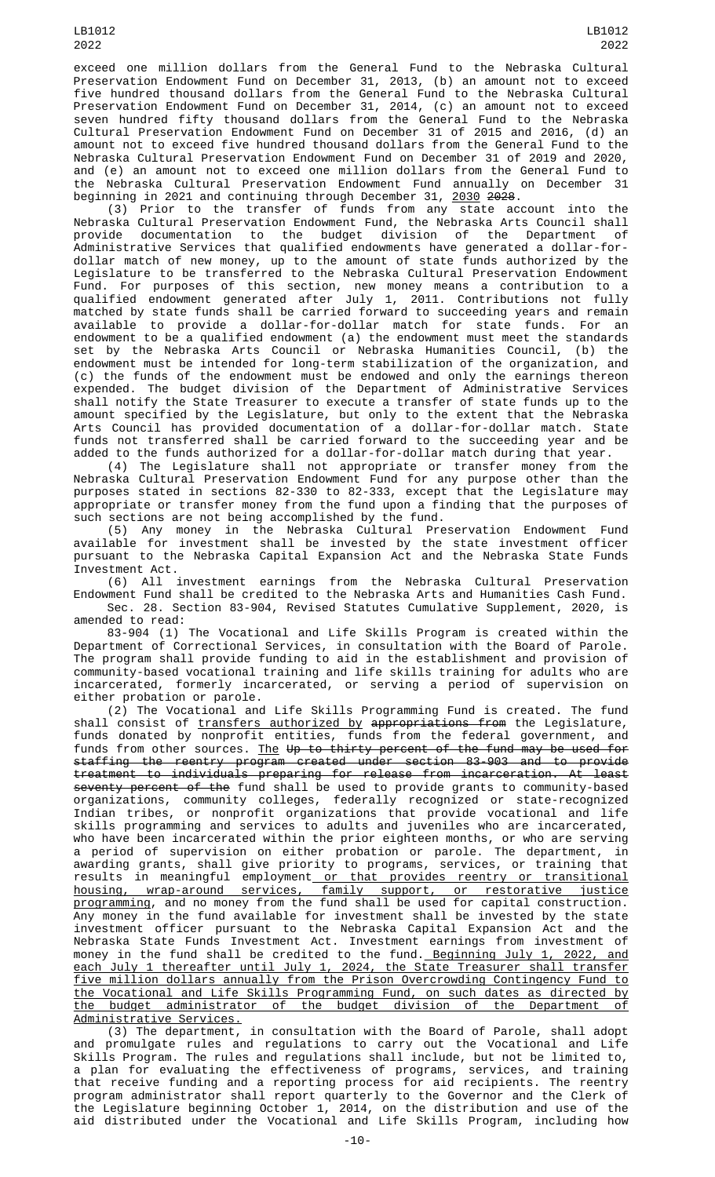exceed one million dollars from the General Fund to the Nebraska Cultural Preservation Endowment Fund on December 31, 2013, (b) an amount not to exceed five hundred thousand dollars from the General Fund to the Nebraska Cultural Preservation Endowment Fund on December 31, 2014, (c) an amount not to exceed seven hundred fifty thousand dollars from the General Fund to the Nebraska Cultural Preservation Endowment Fund on December 31 of 2015 and 2016, (d) an amount not to exceed five hundred thousand dollars from the General Fund to the Nebraska Cultural Preservation Endowment Fund on December 31 of 2019 and 2020, and (e) an amount not to exceed one million dollars from the General Fund to the Nebraska Cultural Preservation Endowment Fund annually on December 31 beginning in 2021 and continuing through December 31, 2030 2028.

(3) Prior to the transfer of funds from any state account into the Nebraska Cultural Preservation Endowment Fund, the Nebraska Arts Council shall provide documentation to the budget division of the Department of Administrative Services that qualified endowments have generated a dollar-fordollar match of new money, up to the amount of state funds authorized by the Legislature to be transferred to the Nebraska Cultural Preservation Endowment Fund. For purposes of this section, new money means a contribution to a qualified endowment generated after July 1, 2011. Contributions not fully matched by state funds shall be carried forward to succeeding years and remain available to provide a dollar-for-dollar match for state funds. For an endowment to be a qualified endowment (a) the endowment must meet the standards set by the Nebraska Arts Council or Nebraska Humanities Council, (b) the endowment must be intended for long-term stabilization of the organization, and (c) the funds of the endowment must be endowed and only the earnings thereon expended. The budget division of the Department of Administrative Services shall notify the State Treasurer to execute a transfer of state funds up to the amount specified by the Legislature, but only to the extent that the Nebraska Arts Council has provided documentation of a dollar-for-dollar match. State funds not transferred shall be carried forward to the succeeding year and be added to the funds authorized for a dollar-for-dollar match during that year.

(4) The Legislature shall not appropriate or transfer money from the Nebraska Cultural Preservation Endowment Fund for any purpose other than the purposes stated in sections 82-330 to 82-333, except that the Legislature may appropriate or transfer money from the fund upon a finding that the purposes of such sections are not being accomplished by the fund.

(5) Any money in the Nebraska Cultural Preservation Endowment Fund available for investment shall be invested by the state investment officer pursuant to the Nebraska Capital Expansion Act and the Nebraska State Funds Investment Act.

(6) All investment earnings from the Nebraska Cultural Preservation Endowment Fund shall be credited to the Nebraska Arts and Humanities Cash Fund. Sec. 28. Section 83-904, Revised Statutes Cumulative Supplement, 2020, is

amended to read: 83-904 (1) The Vocational and Life Skills Program is created within the Department of Correctional Services, in consultation with the Board of Parole. The program shall provide funding to aid in the establishment and provision of community-based vocational training and life skills training for adults who are incarcerated, formerly incarcerated, or serving a period of supervision on either probation or parole.

(2) The Vocational and Life Skills Programming Fund is created. The fund shall consist of <u>transfers authorized by</u> <del>appropriations from</del> the Legislature, funds donated by nonprofit entities, funds from the federal government, and funds from other sources. <u>The</u> <del>Up to thirty percent of the fund may be used for</del> staffing the reentry program created under section 83-903 and to provide treatment to individuals preparing for release from incarceration. At least seventy percent of the fund shall be used to provide grants to community-based organizations, community colleges, federally recognized or state-recognized Indian tribes, or nonprofit organizations that provide vocational and life skills programming and services to adults and juveniles who are incarcerated, who have been incarcerated within the prior eighteen months, or who are serving a period of supervision on either probation or parole. The department, in awarding grants, shall give priority to programs, services, or training that results in meaningful employment<u> or that provides reentry or transitional</u> housing, wrap-around services, family support, or restorative justice programming, and no money from the fund shall be used for capital construction. Any money in the fund available for investment shall be invested by the state investment officer pursuant to the Nebraska Capital Expansion Act and the Nebraska State Funds Investment Act. Investment earnings from investment of money in the fund shall be credited to the fund.<u> Beginning July 1, 2022, and</u> each July 1 thereafter until July 1, 2024, the State Treasurer shall transfer five million dollars annually from the Prison Overcrowding Contingency Fund to the Vocational and Life Skills Programming Fund, on such dates as directed by the budget administrator of the budget division of the Department of Administrative Services.

(3) The department, in consultation with the Board of Parole, shall adopt and promulgate rules and regulations to carry out the Vocational and Life Skills Program. The rules and regulations shall include, but not be limited to, a plan for evaluating the effectiveness of programs, services, and training that receive funding and a reporting process for aid recipients. The reentry program administrator shall report quarterly to the Governor and the Clerk of the Legislature beginning October 1, 2014, on the distribution and use of the aid distributed under the Vocational and Life Skills Program, including how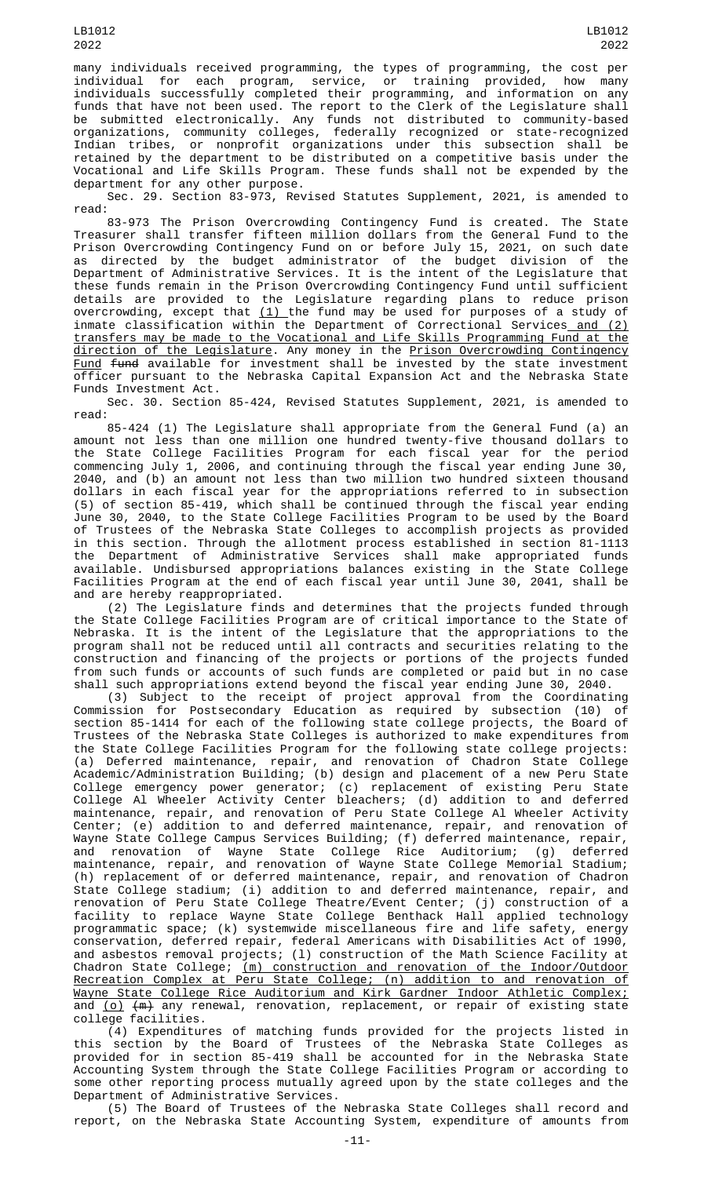many individuals received programming, the types of programming, the cost per individual for each program, service, or training provided, how many individuals successfully completed their programming, and information on any funds that have not been used. The report to the Clerk of the Legislature shall be submitted electronically. Any funds not distributed to community-based organizations, community colleges, federally recognized or state-recognized Indian tribes, or nonprofit organizations under this subsection shall be retained by the department to be distributed on a competitive basis under the Vocational and Life Skills Program. These funds shall not be expended by the department for any other purpose.

Sec. 29. Section 83-973, Revised Statutes Supplement, 2021, is amended to read:

83-973 The Prison Overcrowding Contingency Fund is created. The State Treasurer shall transfer fifteen million dollars from the General Fund to the Prison Overcrowding Contingency Fund on or before July 15, 2021, on such date as directed by the budget administrator of the budget division of the Department of Administrative Services. It is the intent of the Legislature that these funds remain in the Prison Overcrowding Contingency Fund until sufficient details are provided to the Legislature regarding plans to reduce prison overcrowding, except that <u>(1) </u>the fund may be used for purposes of a study of inmate classification within the Department of Correctional Services and (2) transfers may be made to the Vocational and Life Skills Programming Fund at the direction of the Legislature. Any money in the Prison Overcrowding Contingency Fund fund available for investment shall be invested by the state investment officer pursuant to the Nebraska Capital Expansion Act and the Nebraska State Funds Investment Act.

Sec. 30. Section 85-424, Revised Statutes Supplement, 2021, is amended to read:

85-424 (1) The Legislature shall appropriate from the General Fund (a) an amount not less than one million one hundred twenty-five thousand dollars to the State College Facilities Program for each fiscal year for the period commencing July 1, 2006, and continuing through the fiscal year ending June 30, 2040, and (b) an amount not less than two million two hundred sixteen thousand dollars in each fiscal year for the appropriations referred to in subsection (5) of section 85-419, which shall be continued through the fiscal year ending June 30, 2040, to the State College Facilities Program to be used by the Board of Trustees of the Nebraska State Colleges to accomplish projects as provided in this section. Through the allotment process established in section 81-1113 the Department of Administrative Services shall make appropriated funds available. Undisbursed appropriations balances existing in the State College Facilities Program at the end of each fiscal year until June 30, 2041, shall be and are hereby reappropriated.

(2) The Legislature finds and determines that the projects funded through the State College Facilities Program are of critical importance to the State of Nebraska. It is the intent of the Legislature that the appropriations to the program shall not be reduced until all contracts and securities relating to the construction and financing of the projects or portions of the projects funded from such funds or accounts of such funds are completed or paid but in no case shall such appropriations extend beyond the fiscal year ending June 30, 2040.

(3) Subject to the receipt of project approval from the Coordinating Commission for Postsecondary Education as required by subsection (10) of section 85-1414 for each of the following state college projects, the Board of Trustees of the Nebraska State Colleges is authorized to make expenditures from the State College Facilities Program for the following state college projects: (a) Deferred maintenance, repair, and renovation of Chadron State College Academic/Administration Building; (b) design and placement of a new Peru State College emergency power generator; (c) replacement of existing Peru State College Al Wheeler Activity Center bleachers; (d) addition to and deferred maintenance, repair, and renovation of Peru State College Al Wheeler Activity Center; (e) addition to and deferred maintenance, repair, and renovation of Wayne State College Campus Services Building; (f) deferred maintenance, repair, and renovation of Wayne State College Rice Auditorium; (g) deferred maintenance, repair, and renovation of Wayne State College Memorial Stadium; (h) replacement of or deferred maintenance, repair, and renovation of Chadron State College stadium; (i) addition to and deferred maintenance, repair, and renovation of Peru State College Theatre/Event Center; (j) construction of a facility to replace Wayne State College Benthack Hall applied technology programmatic space; (k) systemwide miscellaneous fire and life safety, energy conservation, deferred repair, federal Americans with Disabilities Act of 1990, and asbestos removal projects; (l) construction of the Math Science Facility at Chadron State College; (m) construction and renovation of the Indoor/Outdoor Recreation Complex at Peru State College; (n) addition to and renovation of Wayne State College Rice Auditorium and Kirk Gardner Indoor Athletic Complex; and <u>(o)</u> <del>(m)</del> any renewal, renovation, replacement, or repair of existing state college facilities.

(4) Expenditures of matching funds provided for the projects listed in this section by the Board of Trustees of the Nebraska State Colleges as provided for in section 85-419 shall be accounted for in the Nebraska State Accounting System through the State College Facilities Program or according to some other reporting process mutually agreed upon by the state colleges and the Department of Administrative Services.

(5) The Board of Trustees of the Nebraska State Colleges shall record and report, on the Nebraska State Accounting System, expenditure of amounts from